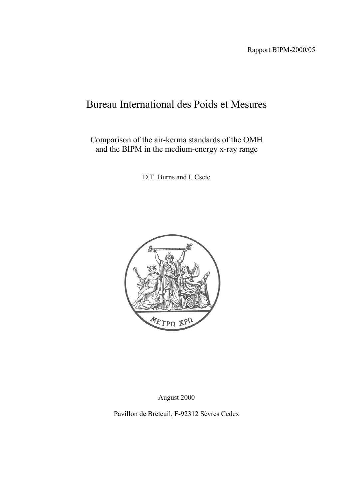# Bureau International des Poids et Mesures

Comparison of the air-kerma standards of the OMH and the BIPM in the medium-energy x-ray range

D.T. Burns and I. Csete



August 2000

Pavillon de Breteuil, F-92312 Sèvres Cedex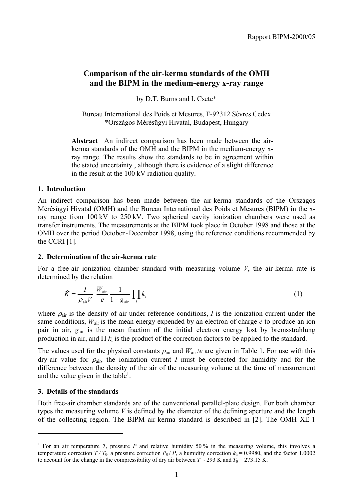# **Comparison of the air-kerma standards of the OMH and the BIPM in the medium-energy x-ray range**

by D.T. Burns and I. Csete\*

Bureau International des Poids et Mesures, F-92312 Sèvres Cedex \*Országos Mérésügyi Hivatal, Budapest, Hungary

**Abstract** An indirect comparison has been made between the airkerma standards of the OMH and the BIPM in the medium-energy xray range. The results show the standards to be in agreement within the stated uncertainty , although there is evidence of a slight difference in the result at the 100 kV radiation quality.

#### **1. Introduction**

An indirect comparison has been made between the air-kerma standards of the Országos Mérésügyi Hivatal (OMH) and the Bureau International des Poids et Mesures (BIPM) in the xray range from 100 kV to 250 kV. Two spherical cavity ionization chambers were used as transfer instruments. The measurements at the BIPM took place in October 1998 and those at the OMH over the period October - December 1998, using the reference conditions recommended by the CCRI [1].

#### **2. Determination of the air-kerma rate**

For a free-air ionization chamber standard with measuring volume *V*, the air-kerma rate is determined by the relation

$$
\dot{K} = \frac{I}{\rho_{\text{air}}V} \frac{W_{\text{air}}}{e} \frac{1}{1 - g_{\text{air}}} \prod_{i} k_{i}
$$
\n(1)

where  $\rho_{\text{air}}$  is the density of air under reference conditions, *I* is the ionization current under the same conditions,  $W_{air}$  is the mean energy expended by an electron of charge *e* to produce an ion pair in air,  $g_{air}$  is the mean fraction of the initial electron energy lost by bremsstrahlung production in air, and  $\Pi$   $k_i$  is the product of the correction factors to be applied to the standard.

The values used for the physical constants  $\rho_{air}$  and  $W_{air}/e$  are given in Table 1. For use with this dry-air value for  $\rho_{air}$ , the ionization current *I* must be corrected for humidity and for the difference between the density of the air of the measuring volume at the time of measurement and the value given in the table<sup>1</sup>.

## **3. Details of the standards**

 $\overline{a}$ 

Both free-air chamber standards are of the conventional parallel-plate design. For both chamber types the measuring volume *V* is defined by the diameter of the defining aperture and the length of the collecting region. The BIPM air-kerma standard is described in [2]. The OMH XE-1

<sup>&</sup>lt;sup>1</sup> For an air temperature *T*, pressure *P* and relative humidity 50 % in the measuring volume, this involves a temperature correction  $T/T_0$ , a pressure correction  $P_0/P$ , a humidity correction  $k_h = 0.9980$ , and the factor 1.0002 to account for the change in the compressibility of dry air between  $T \sim 293$  K and  $T_0 = 273.15$  K.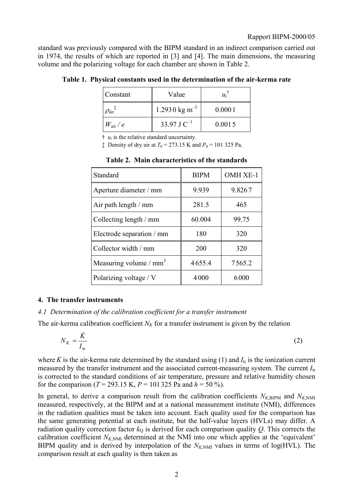standard was previously compared with the BIPM standard in an indirect comparison carried out in 1974, the results of which are reported in [3] and [4]. The main dimensions, the measuring volume and the polarizing voltage for each chamber are shown in Table 2.

| Constant                | Value                     | $u_i$  |
|-------------------------|---------------------------|--------|
| $\rho_{\text{air}}{}^*$ | 1.2930 kg m <sup>-3</sup> | 0.0001 |
| $W_{\rm air}$ / $e$     | 33.97 J $C^{-1}$          | 0.0015 |

**Table 1. Physical constants used in the determination of the air-kerma rate**

 $\dot{\tau}$  *u<sub>i</sub>* is the relative standard uncertainty.

 $\ddagger$  Density of dry air at  $T_0 = 273.15$  K and  $P_0 = 101$  325 Pa.

| Standard                           | <b>BIPM</b> | <b>OMH XE-1</b> |
|------------------------------------|-------------|-----------------|
| Aperture diameter / mm             | 9.939       | 9.8267          |
| Air path length / mm               | 281.5       | 465             |
| Collecting length / mm             | 60.004      | 99.75           |
| Electrode separation / mm          | 180         | 320             |
| Collector width / mm               | 200         | 320             |
| Measuring volume / mm <sup>3</sup> | 4655.4      | 7565.2          |
| Polarizing voltage / V             | 4000        | 6000            |

# **Table 2. Main characteristics of the standards**

#### **4. The transfer instruments**

*4.1 Determination of the calibration coefficient for a transfer instrument*

The air-kerma calibration coefficient  $N_K$  for a transfer instrument is given by the relation

$$
N_K = \frac{\dot{K}}{I_{\text{tr}}} \tag{2}
$$

where *K* is the air-kerma rate determined by the standard using (1) and  $I_{tr}$  is the ionization current measured by the transfer instrument and the associated current-measuring system. The current *I*tr is corrected to the standard conditions of air temperature, pressure and relative humidity chosen for the comparison ( $T = 293.15$  K,  $P = 101325$  Pa and  $h = 50\%$ ).

In general, to derive a comparison result from the calibration coefficients  $N_{K,BIPM}$  and  $N_{K,NMI}$ measured, respectively, at the BIPM and at a national measurement institute (NMI), differences in the radiation qualities must be taken into account. Each quality used for the comparison has the same generating potential at each institute, but the half-value layers (HVLs) may differ. A radiation quality correction factor  $k<sub>Q</sub>$  is derived for each comparison quality  $Q$ . This corrects the calibration coefficient  $N_{K,NMI}$  determined at the NMI into one which applies at the 'equivalent' BIPM quality and is derived by interpolation of the  $N_{K,NMI}$  values in terms of log(HVL). The comparison result at each quality is then taken as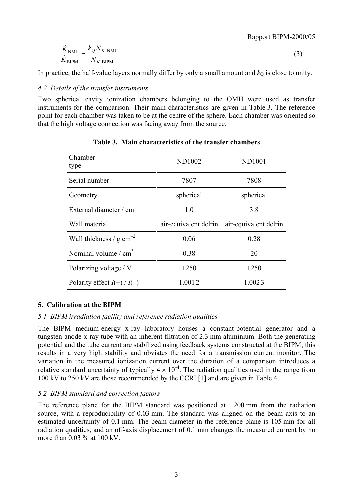Rapport BIPM-2000/05

$$
\frac{\dot{K}_{\text{NMI}}}{\dot{K}_{\text{BIPM}}} = \frac{k_{\text{Q}} N_{K,\text{NMI}}}{N_{K,\text{BIPM}}} \tag{3}
$$

In practice, the half-value layers normally differ by only a small amount and  $k<sub>Q</sub>$  is close to unity.

#### *4.2 Details of the transfer instruments*

Two spherical cavity ionization chambers belonging to the OMH were used as transfer instruments for the comparison. Their main characteristics are given in Table 3. The reference point for each chamber was taken to be at the centre of the sphere. Each chamber was oriented so that the high voltage connection was facing away from the source.

| Chamber<br>type                      | <b>ND1002</b>         | <b>ND1001</b>         |
|--------------------------------------|-----------------------|-----------------------|
| Serial number                        | 7807                  | 7808                  |
| Geometry                             | spherical             | spherical             |
| External diameter / cm               | 1.0                   | 3.8                   |
| Wall material                        | air-equivalent delrin | air-equivalent delrin |
| Wall thickness / $g \text{ cm}^{-2}$ | 0.06                  | 0.28                  |
| Nominal volume $/cm3$                | 0.38                  | 20                    |
| Polarizing voltage / V               | $+250$                | $+250$                |
| Polarity effect $I(+)/I(-)$          | 1.0012                | 1.0023                |

**Table 3. Main characteristics of the transfer chambers**

#### **5. Calibration at the BIPM**

#### *5.1 BIPM irradiation facility and reference radiation qualities*

The BIPM medium-energy x-ray laboratory houses a constant-potential generator and a tungsten-anode x-ray tube with an inherent filtration of 2.3 mm aluminium. Both the generating potential and the tube current are stabilized using feedback systems constructed at the BIPM; this results in a very high stability and obviates the need for a transmission current monitor. The variation in the measured ionization current over the duration of a comparison introduces a relative standard uncertainty of typically  $4 \times 10^{-4}$ . The radiation qualities used in the range from 100 kV to 250 kV are those recommended by the CCRI [1] and are given in Table 4.

#### *5.2 BIPM standard and correction factors*

The reference plane for the BIPM standard was positioned at 1 200 mm from the radiation source, with a reproducibility of 0.03 mm. The standard was aligned on the beam axis to an estimated uncertainty of 0.1 mm. The beam diameter in the reference plane is 105 mm for all radiation qualities, and an off-axis displacement of 0.1 mm changes the measured current by no more than 0.03 % at 100 kV.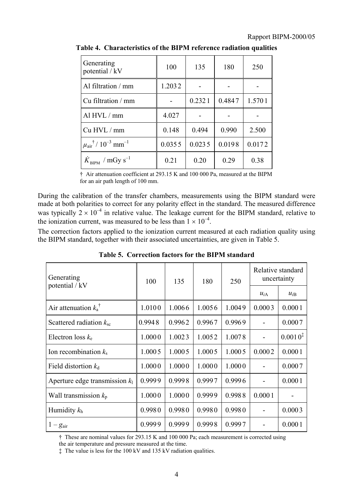| Generating<br>potential / kV                              | 100    | 135    | 180    | 250    |
|-----------------------------------------------------------|--------|--------|--------|--------|
| Al filtration / mm                                        | 1.2032 |        |        |        |
| Cu filtration / mm                                        |        | 0.2321 | 0.4847 | 1.5701 |
| Al HVL / mm                                               | 4.027  |        |        |        |
| Cu HVL / mm                                               | 0.148  | 0.494  | 0.990  | 2.500  |
| $\mu_{\text{air}}^{\dagger}$ / $10^{-3}$ mm <sup>-1</sup> | 0.0355 | 0.0235 | 0.0198 | 0.0172 |
| $K_{\text{RIPM}}$ / mGy s <sup>-1</sup>                   | 0.21   | 0.20   | 0.29   | 0.38   |

**Table 4. Characteristics of the BIPM reference radiation qualities**

† Air attenuation coefficient at 293.15 K and 100 000 Pa, measured at the BIPM for an air path length of 100 mm.

During the calibration of the transfer chambers, measurements using the BIPM standard were made at both polarities to correct for any polarity effect in the standard. The measured difference was typically  $2 \times 10^{-4}$  in relative value. The leakage current for the BIPM standard, relative to the ionization current, was measured to be less than  $1 \times 10^{-4}$ .

The correction factors applied to the ionization current measured at each radiation quality using the BIPM standard, together with their associated uncertainties, are given in Table 5.

| Generating                       | 100    | 135    | 180    | 250    | Relative standard<br>uncertainty |              |
|----------------------------------|--------|--------|--------|--------|----------------------------------|--------------|
| potential / kV                   |        |        |        |        | $u_{iA}$                         | $u_{iB}$     |
| Air attenuation $k_a^{\dagger}$  | 1.0100 | 1.0066 | 1.0056 | 1.0049 | 0.0003                           | 0.0001       |
| Scattered radiation $k_{\rm sc}$ | 0.9948 | 0.9962 | 0.9967 | 0.9969 |                                  | 0.0007       |
| Electron loss $k_e$              | 1.0000 | 1.0023 | 1.0052 | 1.0078 |                                  | $0.0010^{4}$ |
| Ion recombination $k_s$          | 1.0005 | 1.0005 | 1.0005 | 1.0005 | 0.0002                           | 0.0001       |
| Field distortion $k_d$           | 1.0000 | 1.0000 | 1.0000 | 1.0000 |                                  | 0.0007       |
| Aperture edge transmission $k_1$ | 0.9999 | 0.9998 | 0.9997 | 0.9996 |                                  | 0.0001       |
| Wall transmission $k_p$          | 1.0000 | 1.0000 | 0.9999 | 0.9988 | 0.0001                           |              |
| Humidity $k_h$                   | 0.9980 | 0.9980 | 0.9980 | 0.9980 |                                  | 0.0003       |
| $1-g_{\text{air}}$               | 0.9999 | 0.9999 | 0.9998 | 0.9997 |                                  | 0.0001       |

**Table 5. Correction factors for the BIPM standard**

† These are nominal values for 293.15 K and 100 000 Pa; each measurement is corrected using

the air temperature and pressure measured at the time.

‡ The value is less for the 100 kV and 135 kV radiation qualities.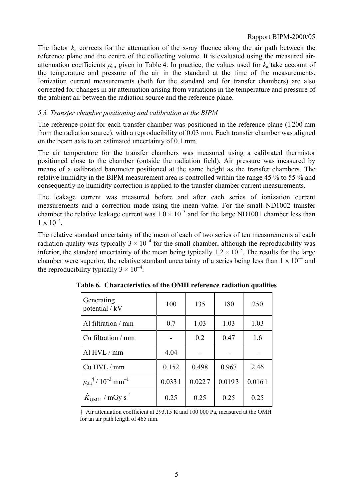#### Rapport BIPM-2000/05

The factor *k*a corrects for the attenuation of the x-ray fluence along the air path between the reference plane and the centre of the collecting volume. It is evaluated using the measured airattenuation coefficients  $\mu_{air}$  given in Table 4. In practice, the values used for  $k_a$  take account of the temperature and pressure of the air in the standard at the time of the measurements. Ionization current measurements (both for the standard and for transfer chambers) are also corrected for changes in air attenuation arising from variations in the temperature and pressure of the ambient air between the radiation source and the reference plane.

#### *5.3 Transfer chamber positioning and calibration at the BIPM*

The reference point for each transfer chamber was positioned in the reference plane (1 200 mm from the radiation source), with a reproducibility of 0.03 mm. Each transfer chamber was aligned on the beam axis to an estimated uncertainty of 0.1 mm.

The air temperature for the transfer chambers was measured using a calibrated thermistor positioned close to the chamber (outside the radiation field). Air pressure was measured by means of a calibrated barometer positioned at the same height as the transfer chambers. The relative humidity in the BIPM measurement area is controlled within the range 45 % to 55 % and consequently no humidity correction is applied to the transfer chamber current measurements.

The leakage current was measured before and after each series of ionization current measurements and a correction made using the mean value. For the small ND1002 transfer chamber the relative leakage current was  $1.0 \times 10^{-3}$  and for the large ND1001 chamber less than  $1 \times 10^{-4}$ 

The relative standard uncertainty of the mean of each of two series of ten measurements at each radiation quality was typically  $3 \times 10^{-4}$  for the small chamber, although the reproducibility was inferior, the standard uncertainty of the mean being typically  $1.2 \times 10^{-3}$ . The results for the large chamber were superior, the relative standard uncertainty of a series being less than  $1 \times 10^{-4}$  and the reproducibility typically  $3 \times 10^{-4}$ .

| Generating<br>potential / kV                              | 100    | 135    | 180    | 250    |
|-----------------------------------------------------------|--------|--------|--------|--------|
| Al filtration / mm                                        | 0.7    | 1.03   | 1.03   | 1.03   |
| Cu filtration / mm                                        |        | 0.2    | 0.47   | 1.6    |
| Al HVL / mm                                               | 4.04   |        |        |        |
| Cu HVL / mm                                               | 0.152  | 0.498  | 0.967  | 2.46   |
| $\mu_{\text{air}}^{\dagger}$ / $10^{-3}$ mm <sup>-1</sup> | 0.0331 | 0.0227 | 0.0193 | 0.0161 |
| $K_{\text{OMH}}$ / mGy s <sup>-1</sup>                    | 0.25   | 0.25   | 0.25   | 0.25   |

**Table 6. Characteristics of the OMH reference radiation qualities**

† Air attenuation coefficient at 293.15 K and 100 000 Pa, measured at the OMH for an air path length of 465 mm.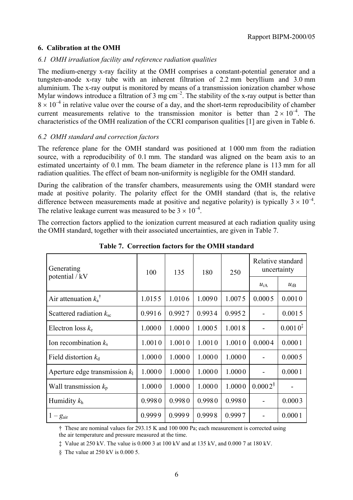#### **6. Calibration at the OMH**

#### *6.1 OMH irradiation facility and reference radiation qualities*

The medium-energy x-ray facility at the OMH comprises a constant-potential generator and a tungsten-anode x-ray tube with an inherent filtration of 2.2 mm beryllium and 3.0 mm aluminium. The x-ray output is monitored by means of a transmission ionization chamber whose Mylar windows introduce a filtration of 3 mg  $cm^{-2}$ . The stability of the x-ray output is better than  $8 \times 10^{-4}$  in relative value over the course of a day, and the short-term reproducibility of chamber current measurements relative to the transmission monitor is better than  $2 \times 10^{-4}$ . The characteristics of the OMH realization of the CCRI comparison qualities [1] are given in Table 6.

#### *6.2 OMH standard and correction factors*

The reference plane for the OMH standard was positioned at 1 000 mm from the radiation source, with a reproducibility of 0.1 mm. The standard was aligned on the beam axis to an estimated uncertainty of 0.1 mm. The beam diameter in the reference plane is 113 mm for all radiation qualities. The effect of beam non-uniformity is negligible for the OMH standard.

During the calibration of the transfer chambers, measurements using the OMH standard were made at positive polarity. The polarity effect for the OMH standard (that is, the relative difference between measurements made at positive and negative polarity) is typically  $3 \times 10^{-4}$ . The relative leakage current was measured to be  $3 \times 10^{-4}$ .

The correction factors applied to the ionization current measured at each radiation quality using the OMH standard, together with their associated uncertainties, are given in Table 7.

| Generating                       | 100    | 135    | 180    | 250    | Relative standard<br>uncertainty |              |
|----------------------------------|--------|--------|--------|--------|----------------------------------|--------------|
| potential / kV                   |        |        |        |        | $u_{iA}$                         | $u_{iB}$     |
| Air attenuation $k_a^{\dagger}$  | 1.0155 | 1.0106 | 1.0090 | 1.0075 | 0.0005                           | 0.0010       |
| Scattered radiation $k_{\rm sc}$ | 0.9916 | 0.9927 | 0.9934 | 0.9952 |                                  | 0.0015       |
| Electron loss $k_e$              | 1.0000 | 1.0000 | 1.0005 | 1.0018 | $\overline{\phantom{0}}$         | $0.0010^{1}$ |
| Ion recombination $k_s$          | 1.0010 | 1.0010 | 1.0010 | 1.0010 | 0.0004                           | 0.0001       |
| Field distortion $k_d$           | 1.0000 | 1.0000 | 1.0000 | 1.0000 |                                  | 0.0005       |
| Aperture edge transmission $k_1$ | 1.0000 | 1.0000 | 1.0000 | 1.0000 |                                  | 0.0001       |
| Wall transmission $k_p$          | 1.0000 | 1.0000 | 1.0000 | 1.0000 | $0.0002$ <sup>§</sup>            |              |
| Humidity $k_h$                   | 0.9980 | 0.9980 | 0.9980 | 0.9980 |                                  | 0.0003       |
| $1-g_{\text{air}}$               | 0.9999 | 0.9999 | 0.9998 | 0.9997 |                                  | 0.0001       |

**Table 7. Correction factors for the OMH standard**

† These are nominal values for 293.15 K and 100 000 Pa; each measurement is corrected using the air temperature and pressure measured at the time.

‡ Value at 250 kV. The value is 0.000 3 at 100 kV and at 135 kV, and 0.000 7 at 180 kV.

§ The value at 250 kV is 0.000 5.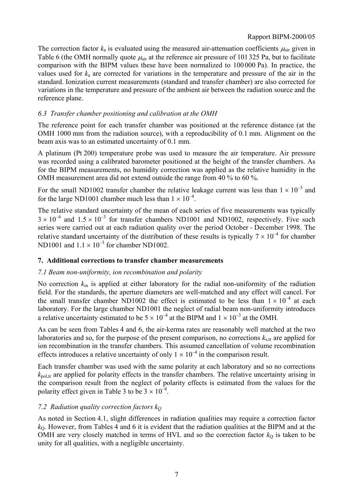#### Rapport BIPM-2000/05

The correction factor  $k_a$  is evaluated using the measured air-attenuation coefficients  $\mu_{air}$  given in Table 6 (the OMH normally quote  $\mu_{air}$  at the reference air pressure of 101 325 Pa, but to facilitate comparison with the BIPM values these have been normalized to 100 000 Pa). In practice, the values used for *k*a are corrected for variations in the temperature and pressure of the air in the standard. Ionization current measurements (standard and transfer chamber) are also corrected for variations in the temperature and pressure of the ambient air between the radiation source and the reference plane.

#### *6.3 Transfer chamber positioning and calibration at the OMH*

The reference point for each transfer chamber was positioned at the reference distance (at the OMH 1000 mm from the radiation source), with a reproducibility of 0.1 mm. Alignment on the beam axis was to an estimated uncertainty of 0.1 mm.

A platinum (Pt 200) temperature probe was used to measure the air temperature. Air pressure was recorded using a calibrated barometer positioned at the height of the transfer chambers. As for the BIPM measurements, no humidity correction was applied as the relative humidity in the OMH measurement area did not extend outside the range from 40 % to 60 %.

For the small ND1002 transfer chamber the relative leakage current was less than  $1 \times 10^{-3}$  and for the large ND1001 chamber much less than  $1 \times 10^{-4}$ .

The relative standard uncertainty of the mean of each series of five measurements was typically  $3 \times 10^{-4}$  and  $1.5 \times 10^{-3}$  for transfer chambers ND1001 and ND1002, respectively. Five such series were carried out at each radiation quality over the period October - December 1998. The relative standard uncertainty of the distribution of these results is typically  $7 \times 10^{-4}$  for chamber ND1001 and  $1.1 \times 10^{-3}$  for chamber ND1002.

#### **7. Additional corrections to transfer chamber measurements**

#### *7.1 Beam non-uniformity, ion recombination and polarity*

No correction  $k_{\text{m}}$  is applied at either laboratory for the radial non-uniformity of the radiation field. For the standards, the aperture diameters are well-matched and any effect will cancel. For the small transfer chamber ND1002 the effect is estimated to be less than  $1 \times 10^{-4}$  at each laboratory. For the large chamber ND1001 the neglect of radial beam non-uniformity introduces a relative uncertainty estimated to be  $5 \times 10^{-4}$  at the BIPM and  $1 \times 10^{-3}$  at the OMH.

As can be seen from Tables 4 and 6, the air-kerma rates are reasonably well matched at the two laboratories and so, for the purpose of the present comparison, no corrections  $k_{s,tr}$  are applied for ion recombination in the transfer chambers. This assumed cancellation of volume recombination effects introduces a relative uncertainty of only  $1 \times 10^{-4}$  in the comparison result.

Each transfer chamber was used with the same polarity at each laboratory and so no corrections  $k_{\text{pol tr}}$  are applied for polarity effects in the transfer chambers. The relative uncertainty arising in the comparison result from the neglect of polarity effects is estimated from the values for the polarity effect given in Table 3 to be  $3 \times 10^{-4}$ .

## *7.2 Radiation quality correction factors kQ*

As noted in Section 4.1, slight differences in radiation qualities may require a correction factor *k*Q. However, from Tables 4 and 6 it is evident that the radiation qualities at the BIPM and at the OMH are very closely matched in terms of HVL and so the correction factor  $k_0$  is taken to be unity for all qualities, with a negligible uncertainty.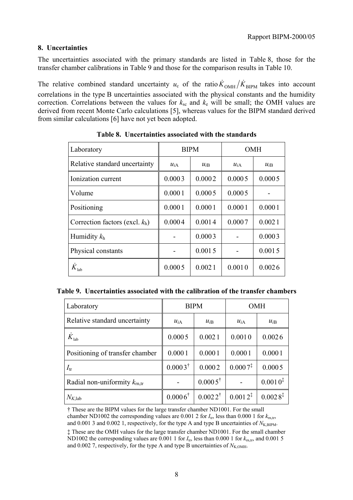#### **8. Uncertainties**

The uncertainties associated with the primary standards are listed in Table 8, those for the transfer chamber calibrations in Table 9 and those for the comparison results in Table 10.

The relative combined standard uncertainty  $u_c$  of the ratio  $\dot{K}_{OMH}/\dot{K}_{BIPM}$  takes into account correlations in the type B uncertainties associated with the physical constants and the humidity correction. Correlations between the values for  $k_{\rm sc}$  and  $k_{\rm e}$  will be small; the OMH values are derived from recent Monte Carlo calculations [5], whereas values for the BIPM standard derived from similar calculations [6] have not yet been adopted.

| Laboratory                        | <b>BIPM</b> |          | <b>OMH</b> |          |
|-----------------------------------|-------------|----------|------------|----------|
| Relative standard uncertainty     | $u_{iA}$    | $u_{iB}$ | $u_{iA}$   | $u_{iB}$ |
| Ionization current                | 0.0003      | 0.0002   | 0.0005     | 0.0005   |
| Volume                            | 0.0001      | 0.0005   | 0.0005     |          |
| Positioning                       | 0.0001      | 0.0001   | 0.0001     | 0.0001   |
| Correction factors (excl. $k_h$ ) | 0.0004      | 0.0014   | 0.0007     | 0.0021   |
| Humidity $k_h$                    |             | 0.0003   |            | 0.0003   |
| Physical constants                |             | 0.0015   |            | 0.0015   |
| $K_{\rm lab}$                     | 0.0005      | 0.0021   | 0.0010     | 0.0026   |

|  |  |  |  |  | Table 8. Uncertainties associated with the standards |
|--|--|--|--|--|------------------------------------------------------|
|--|--|--|--|--|------------------------------------------------------|

|  | Table 9. Uncertainties associated with the calibration of the transfer chambers |  |  |  |  |  |  |
|--|---------------------------------------------------------------------------------|--|--|--|--|--|--|
|--|---------------------------------------------------------------------------------|--|--|--|--|--|--|

| Laboratory                               | <b>BIPM</b>        |                    | <b>OMH</b> |                     |
|------------------------------------------|--------------------|--------------------|------------|---------------------|
| Relative standard uncertainty            | $u_{iA}$           | $u_{iB}$           | $u_{iA}$   | $u_{iB}$            |
| ${\dot K}_{\rm lab}$                     | 0.0005             | 0.0021             | 0.0010     | 0.0026              |
| Positioning of transfer chamber          | 0.0001             | 0.0001             | 0.0001     | 0.0001              |
| $I_{tr}$                                 | $0.0003^{\dagger}$ | 0.0002             | $0.0007^*$ | 0.0005              |
| Radial non-uniformity $k_{\text{rn tr}}$ |                    | $0.0005^{\dagger}$ |            | $0.0010^{\ddagger}$ |
| $N_{K,\text{lab}}$                       | $0.0006^{\dagger}$ | $0.0022^{\dagger}$ | $0.0012^*$ | $0.0028^{\ddagger}$ |

† These are the BIPM values for the large transfer chamber ND1001. For the small chamber ND1002 the corresponding values are 0.001 2 for  $I_{tr}$ , less than 0.000 1 for  $k_{m,tr}$ , and 0.001 3 and 0.002 1, respectively, for the type A and type B uncertainties of  $N_{\text{K,BIPM}}$ .

‡ These are the OMH values for the large transfer chamber ND1001. For the small chamber ND1002 the corresponding values are 0.001 1 for  $I_{tr}$ , less than 0.000 1 for  $k_{int}$ , and 0.001 5 and 0.002 7, respectively, for the type A and type B uncertainties of  $N_{K,OMH}$ .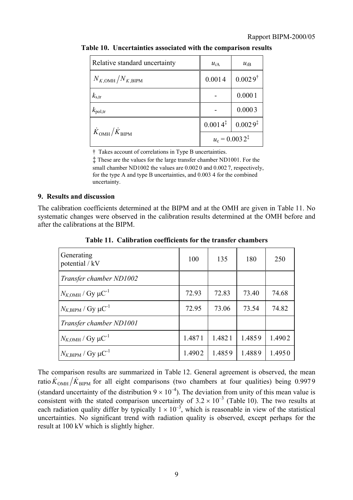| Relative standard uncertainty          | $u_{iA}$                  | $u_{iB}$            |  |
|----------------------------------------|---------------------------|---------------------|--|
| $N_{K, \text{OMH}}/N_{K, \text{BIPM}}$ | 0.0014                    | $0.0029^{\dagger}$  |  |
| $k_{\rm s,tr}$                         |                           | 0.0001              |  |
| $k_{\text{pol,tr}}$                    |                           | 0.0003              |  |
| $\dot{K}_{\rm OMH}/\dot{K}_{\rm BIPM}$ | $0.0014^{\ddagger}$       | $0.0029^{\ddagger}$ |  |
|                                        | $u_c = 0.0032^{\ddagger}$ |                     |  |

**Table 10. Uncertainties associated with the comparison results**

† Takes account of correlations in Type B uncertainties.

‡ These are the values for the large transfer chamber ND1001. For the small chamber ND1002 the values are  $0.0020$  and  $0.0027$ , respectively, for the type A and type B uncertainties, and 0.003 4 for the combined uncertainty.

#### **9. Results and discussion**

The calibration coefficients determined at the BIPM and at the OMH are given in Table 11. No systematic changes were observed in the calibration results determined at the OMH before and after the calibrations at the BIPM.

| Generating<br>potential / kV                | 100    | 135    | 180    | 250    |
|---------------------------------------------|--------|--------|--------|--------|
| Transfer chamber ND1002                     |        |        |        |        |
| $N_{K,OMH}$ / Gy $\mu$ C <sup>-1</sup>      | 72.93  | 72.83  | 73.40  | 74.68  |
| $N_{K,\text{BIPM}}$ / Gy $\mu\text{C}^{-1}$ | 72.95  | 73.06  | 73.54  | 74.82  |
| Transfer chamber ND1001                     |        |        |        |        |
| $N_{K,OMH}$ / Gy $\mu$ C <sup>-1</sup>      | 1.4871 | 1.4821 | 1.4859 | 1.4902 |
| $N_{K,\text{BIPM}}$ / Gy $\mu\text{C}^{-1}$ | 1.4902 | 1.4859 | 1.4889 | 1.4950 |

**Table 11. Calibration coefficients for the transfer chambers**

The comparison results are summarized in Table 12. General agreement is observed, the mean ratio  $\dot{K}_{\text{OMH}}/\dot{K}_{\text{BIPM}}$  for all eight comparisons (two chambers at four qualities) being 0.9979 (standard uncertainty of the distribution  $9 \times 10^{-4}$ ). The deviation from unity of this mean value is consistent with the stated comparison uncertainty of  $3.2 \times 10^{-3}$  (Table 10). The two results at each radiation quality differ by typically  $1 \times 10^{-3}$ , which is reasonable in view of the statistical uncertainties. No significant trend with radiation quality is observed, except perhaps for the result at 100 kV which is slightly higher.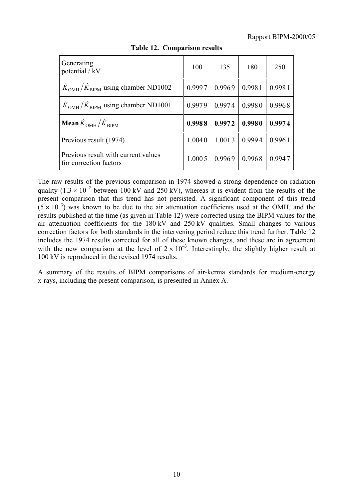| Generating<br>potential / kV                                  | 100    | 135    | 180    | 250    |
|---------------------------------------------------------------|--------|--------|--------|--------|
| $\overline{K}_{OMH}/\overline{K}_{BIPM}$ using chamber ND1002 | 0.9997 | 0.9969 | 0.9981 | 0.9981 |
| $\overline{K}_{OMH}/\overline{K}_{BIPM}$ using chamber ND1001 | 0.9979 | 0.9974 | 0.9980 | 0.9968 |
| <b>Mean</b> $\dot{K}_{OMH}/\dot{K}_{BIPM}$                    | 0.9988 | 0.9972 | 0.9980 | 0.9974 |
| Previous result (1974)                                        | 1.0040 | 1.0013 | 0.9994 | 0.9961 |
| Previous result with current values<br>for correction factors | 1.0005 | 0.9969 | 0.9968 | 0.9947 |

**Table 12. Comparison results**

The raw results of the previous comparison in 1974 showed a strong dependence on radiation quality  $(1.3 \times 10^{-2}$  between 100 kV and 250 kV), whereas it is evident from the results of the present comparison that this trend has not persisted. A significant component of this trend  $(5 \times 10^{-3})$  was known to be due to the air attenuation coefficients used at the OMH, and the results published at the time (as given in Table 12) were corrected using the BIPM values for the air attenuation coefficients for the 180 kV and 250 kV qualities. Small changes to various correction factors for both standards in the intervening period reduce this trend further. Table 12 includes the 1974 results corrected for all of these known changes, and these are in agreement with the new comparison at the level of  $2 \times 10^{-3}$ . Interestingly, the slightly higher result at 100 kV is reproduced in the revised 1974 results.

A summary of the results of BIPM comparisons of air-kerma standards for medium-energy x-rays, including the present comparison, is presented in Annex A.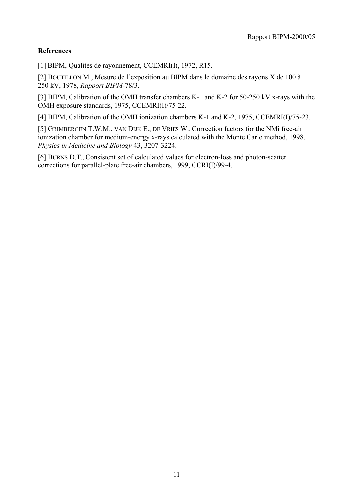## **References**

[1] BIPM, Qualités de rayonnement, CCEMRI(I), 1972, R15.

[2] BOUTILLON M., Mesure de l'exposition au BIPM dans le domaine des rayons X de 100 à 250 kV, 1978, *Rapport BIPM-*78/3.

[3] BIPM, Calibration of the OMH transfer chambers K-1 and K-2 for 50-250 kV x-rays with the OMH exposure standards, 1975, CCEMRI(I)/75-22.

[4] BIPM, Calibration of the OMH ionization chambers K-1 and K-2, 1975, CCEMRI(I)/75-23.

[5] GRIMBERGEN T.W.M., VAN DIJK E., DE VRIES W., Correction factors for the NMi free-air ionization chamber for medium-energy x-rays calculated with the Monte Carlo method, 1998, *Physics in Medicine and Biology* 43, 3207-3224.

[6] BURNS D.T., Consistent set of calculated values for electron-loss and photon-scatter corrections for parallel-plate free-air chambers, 1999, CCRI(I)/99-4.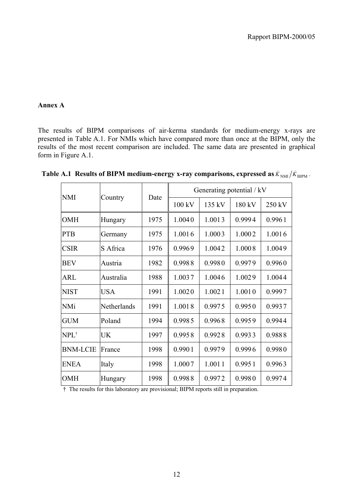#### **Annex A**

The results of BIPM comparisons of air-kerma standards for medium-energy x-rays are presented in Table A.1. For NMIs which have compared more than once at the BIPM, only the results of the most recent comparison are included. The same data are presented in graphical form in Figure A.1.

| <b>NMI</b>       | Country     | Date | Generating potential / kV |                  |        |        |
|------------------|-------------|------|---------------------------|------------------|--------|--------|
|                  |             |      | $100 \text{ kV}$          | $135 \text{ kV}$ | 180 kV | 250 kV |
| <b>OMH</b>       | Hungary     | 1975 | 1.0040                    | 1.0013           | 0.9994 | 0.9961 |
| <b>PTB</b>       | Germany     | 1975 | 1.0016                    | 1.0003           | 1.0002 | 1.0016 |
| <b>CSIR</b>      | S Africa    | 1976 | 0.9969                    | 1.0042           | 1.0008 | 1.0049 |
| <b>BEV</b>       | Austria     | 1982 | 0.9988                    | 0.9980           | 0.9979 | 0.9960 |
| <b>ARL</b>       | Australia   | 1988 | 1.0037                    | 1.0046           | 1.0029 | 1.0044 |
| <b>NIST</b>      | <b>USA</b>  | 1991 | 1.0020                    | 1.0021           | 1.0010 | 0.9997 |
| <b>NMi</b>       | Netherlands | 1991 | 1.0018                    | 0.9975           | 0.9950 | 0.9937 |
| <b>GUM</b>       | Poland      | 1994 | 0.9985                    | 0.9968           | 0.9959 | 0.9944 |
| NPL <sup>†</sup> | <b>UK</b>   | 1997 | 0.9958                    | 0.9928           | 0.9933 | 0.9888 |
| <b>BNM-LCIE</b>  | France      | 1998 | 0.9901                    | 0.9979           | 0.9996 | 0.9980 |
| <b>ENEA</b>      | Italy       | 1998 | 1.0007                    | 1.0011           | 0.9951 | 0.9963 |
| <b>OMH</b>       | Hungary     | 1998 | 0.9988                    | 0.9972           | 0.9980 | 0.9974 |

**Table A.1 Results of BIPM medium-energy x-ray comparisons, expressed as**  $\dot{K}_{NM}/\dot{K}_{BIPM}$ **.** 

<sup>†</sup> The results for this laboratory are provisional; BIPM reports still in preparation.